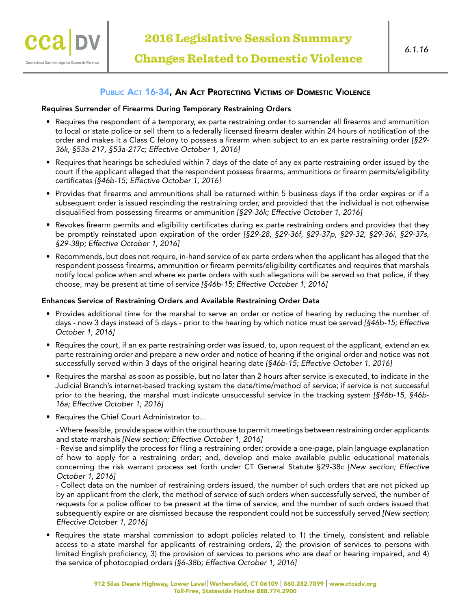

## PUBLIC ACT 16-34, AN ACT PROTECTING VICTIMS OF DOMESTIC VIOLENCE

#### Requires Surrender of Firearms During Temporary Restraining Orders

Connecticut Coalition Against Domestic Violeno

- Requires the respondent of a temporary, ex parte restraining order to surrender all firearms and ammunition to local or state police or sell them to a federally licensed firearm dealer within 24 hours of notification of the order and makes it a Class C felony to possess a firearm when subject to an ex parte restraining order *[§29- 36k, §53a-217, §53a-217c; Effective October 1, 2016]*
- Requires that hearings be scheduled within 7 days of the date of any ex parte restraining order issued by the court if the applicant alleged that the respondent possess firearms, ammunitions or firearm permits/eligibility certificates *[§46b-15; Effective October 1, 2016]*
- Provides that firearms and ammunitions shall be returned within 5 business days if the order expires or if a subsequent order is issued rescinding the restraining order, and provided that the individual is not otherwise disqualified from possessing firearms or ammunition *[§29-36k; Effective October 1, 2016]*
- Revokes firearm permits and eligibility certificates during ex parte restraining orders and provides that they be promptly reinstated upon expiration of the order *[§29-28, §29-36f, §29-37p, §29-32, §29-36i, §29-37s, §29-38p; Effective October 1, 2016]*
- Recommends, but does not require, in-hand service of ex parte orders when the applicant has alleged that the respondent possess firearms, ammunition or firearm permits/eligibility certificates and requires that marshals notify local police when and where ex parte orders with such allegations will be served so that police, if they choose, may be present at time of service *[§46b-15; Effective October 1, 2016]*

#### Enhances Service of Restraining Orders and Available Restraining Order Data

- Provides additional time for the marshal to serve an order or notice of hearing by reducing the number of days - now 3 days instead of 5 days - prior to the hearing by which notice must be served *[§46b-15; Effective October 1, 2016]*
- Requires the court, if an ex parte restraining order was issued, to, upon request of the applicant, extend an ex parte restraining order and prepare a new order and notice of hearing if the original order and notice was not successfully served within 3 days of the original hearing date *[§46b-15; Effective October 1, 2016]*
- Requires the marshal as soon as possible, but no later than 2 hours after service is executed, to indicate in the Judicial Branch's internet-based tracking system the date/time/method of service; if service is not successful prior to the hearing, the marshal must indicate unsuccessful service in the tracking system *[§46b-15, §46b-16a; Effective October 1, 2016]*
- Requires the Chief Court Administrator to...

- Where feasible, provide space within the courthouse to permit meetings between restraining order applicants and state marshals *[New section; Effective October 1, 2016]*

- Revise and simplify the process for filing a restraining order; provide a one-page, plain language explanation of how to apply for a restraining order; and, develop and make available public educational materials concerning the risk warrant process set forth under CT General Statute §29-38c *[New section; Effective October 1, 2016]*

- Collect data on the number of restraining orders issued, the number of such orders that are not picked up by an applicant from the clerk, the method of service of such orders when successfully served, the number of requests for a police officer to be present at the time of service, and the number of such orders issued that subsequently expire or are dismissed because the respondent could not be successfully served *[New section; Effective October 1, 2016]*

• Requires the state marshal commission to adopt policies related to 1) the timely, consistent and reliable access to a state marshal for applicants of restraining orders, 2) the provision of services to persons with limited English proficiency, 3) the provision of services to persons who are deaf or hearing impaired, and 4) the service of photocopied orders *[§6-38b; Effective October 1, 2016]*